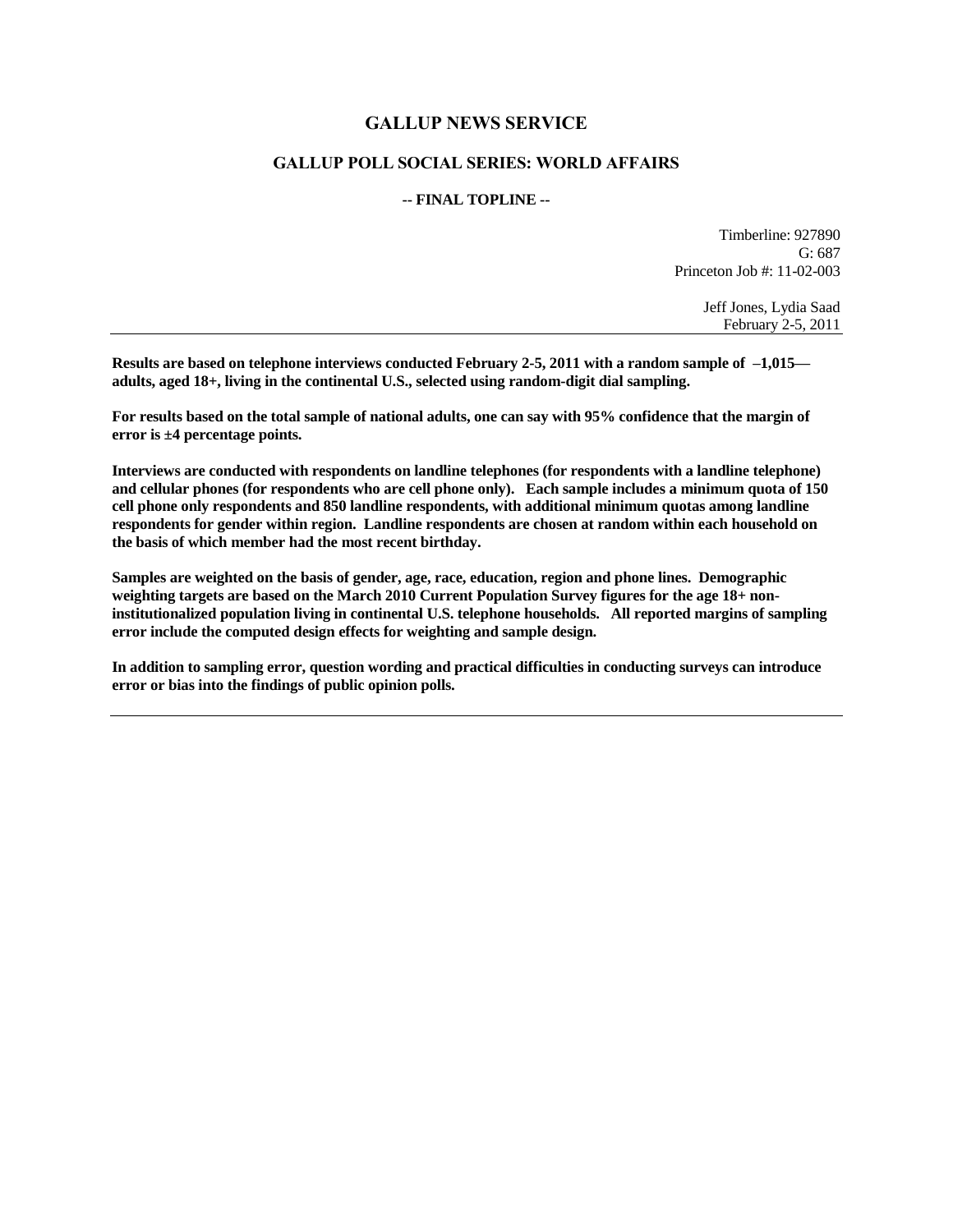## **GALLUP NEWS SERVICE**

## **GALLUP POLL SOCIAL SERIES: WORLD AFFAIRS**

#### **-- FINAL TOPLINE --**

Timberline: 927890  $G: 687$ Princeton Job #: 11-02-003

> Jeff Jones, Lydia Saad February 2-5, 2011

**Results are based on telephone interviews conducted February 2-5, 2011 with a random sample of –1,015 adults, aged 18+, living in the continental U.S., selected using random-digit dial sampling.** 

**For results based on the total sample of national adults, one can say with 95% confidence that the margin of error is ±4 percentage points.**

**Interviews are conducted with respondents on landline telephones (for respondents with a landline telephone) and cellular phones (for respondents who are cell phone only). Each sample includes a minimum quota of 150 cell phone only respondents and 850 landline respondents, with additional minimum quotas among landline respondents for gender within region. Landline respondents are chosen at random within each household on the basis of which member had the most recent birthday.**

**Samples are weighted on the basis of gender, age, race, education, region and phone lines. Demographic weighting targets are based on the March 2010 Current Population Survey figures for the age 18+ noninstitutionalized population living in continental U.S. telephone households. All reported margins of sampling error include the computed design effects for weighting and sample design.** 

**In addition to sampling error, question wording and practical difficulties in conducting surveys can introduce error or bias into the findings of public opinion polls.**